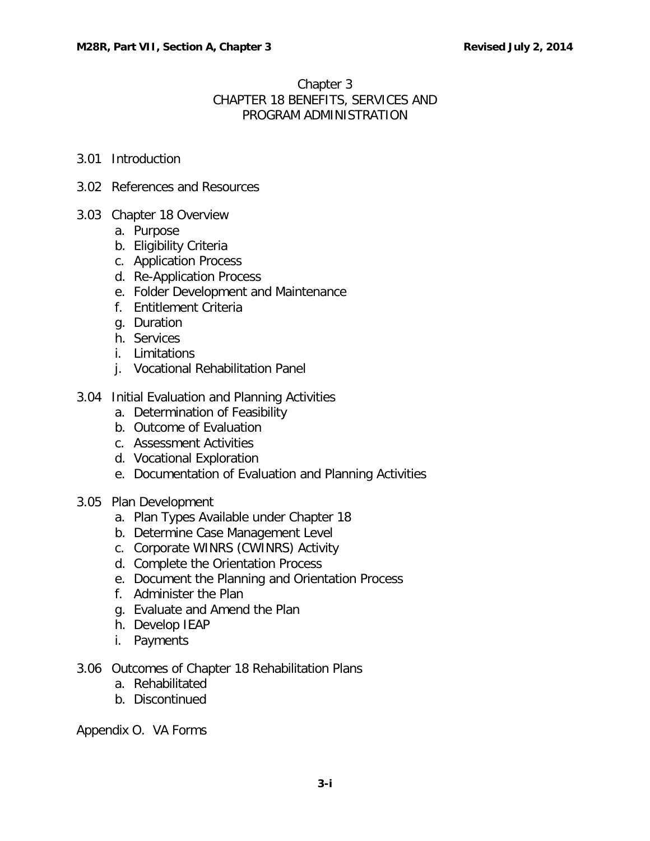## Chapter 3 CHAPTER 18 BENEFITS, SERVICES AND PROGRAM ADMINISTRATION

- 3.01 [Introduction](#page-1-0)
- 3.02 [References and](#page-1-1) Resources
- 3.03 [Chapter 18 Overview](#page-2-0)
	- a. [Purpose](#page-2-1)
	- b. [Eligibility Criteria](#page-2-2)
	- c. [Application Process](#page-2-3)
	- d. [Re-Application Process](#page-2-4)
	- e. [Folder Development and Maintenance](#page-3-0)
	- f. Entitlement Criteria
	- g. [Duration](#page-4-0)
	- h. [Services](#page-4-1)
	- i. [Limitations](#page-6-0)
	- j. Vocational [Rehabilitation](#page-6-1) Panel
- 3.04 [Initial Evaluation and Planning Activities](#page-7-0)
	- a. [Determination](#page-7-1) of Feasibility
	- b. [Outcome of Evaluation](#page-8-0)
	- c. [Assessment Activities](#page-8-1)
	- d. [Vocational Exploration](#page-9-0)
	- e. [Documentation of Evaluation and Planning Activities](#page-9-1)
- 3.05 [Plan Development](#page-9-2)
	- a. [Plan Types Available under Chapter 18](#page-9-3)
	- b. [Determine Case Management Level](#page-10-0)
	- c. [Corporate WINRS \(CWINRS\) Activity](#page-11-0)
	- d. [Complete the Orientation Process](#page-11-1)
	- e. [Document the Planning and Orientation Process](#page-12-0)
	- f. [Administer the Plan](#page-12-1)
	- g. [Evaluate and Amend the Plan](#page-12-2)
	- h. [Develop IEAP](#page-13-0)
	- i. [Payments](#page-13-1)
- 3.06 [Outcomes of Chapter 18 Rehabilitation Plans](#page-13-2)
	- a. [Rehabilitated](#page-13-3)
	- b. [Discontinued](#page-14-0)

Appendix O. VA Forms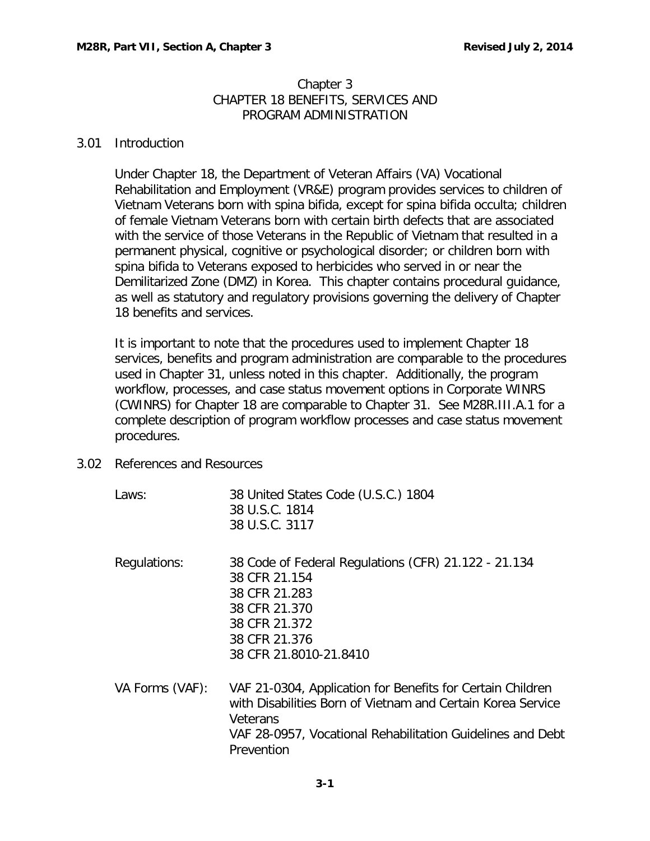### Chapter 3 CHAPTER 18 BENEFITS, SERVICES AND PROGRAM ADMINISTRATION

### <span id="page-1-0"></span>3.01 Introduction

Under Chapter 18, the Department of Veteran Affairs (VA) Vocational Rehabilitation and Employment (VR&E) program provides services to children of Vietnam Veterans born with spina bifida, except for spina bifida occulta; children of female Vietnam Veterans born with certain birth defects that are associated with the service of those Veterans in the Republic of Vietnam that resulted in a permanent physical, cognitive or psychological disorder; or children born with spina bifida to Veterans exposed to herbicides who served in or near the Demilitarized Zone (DMZ) in Korea. This chapter contains procedural guidance, as well as statutory and regulatory provisions governing the delivery of Chapter 18 benefits and services.

It is important to note that the procedures used to implement Chapter 18 services, benefits and program administration are comparable to the procedures used in Chapter 31, unless noted in this chapter. Additionally, the program workflow, processes, and case status movement options in Corporate WINRS (CWINRS) for Chapter 18 are comparable to Chapter 31. See M28R.III.A.1 for a complete description of program workflow processes and case status movement procedures.

- <span id="page-1-1"></span>3.02 References and Resources
	- Laws: 38 United States Code (U.S.C.) 1804 38 U.S.C. 1814 38 U.S.C. 3117 Regulations: 38 Code of Federal Regulations (CFR) 21.122 - 21.134 38 CFR 21.154 38 CFR 21.283 38 CFR 21.370 38 CFR 21.372 38 CFR 21.376 38 CFR 21.8010-21.8410 VA Forms (VAF): VAF 21-0304, Application for Benefits for Certain Children
		- with Disabilities Born of Vietnam and Certain Korea Service Veterans VAF 28-0957, Vocational Rehabilitation Guidelines and Debt **Prevention**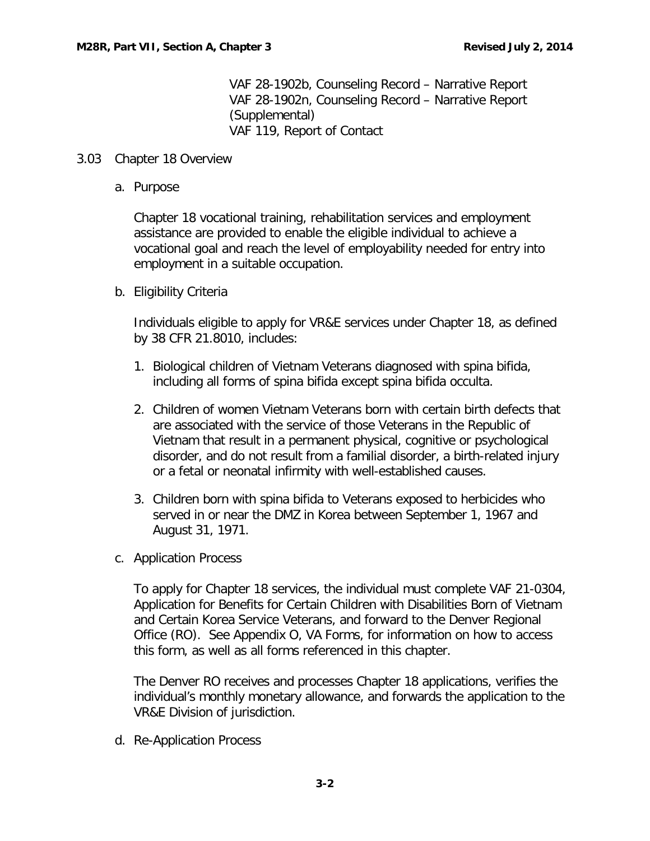VAF 28-1902b, Counseling Record – Narrative Report VAF 28-1902n, Counseling Record – Narrative Report (Supplemental) VAF 119, Report of Contact

### <span id="page-2-1"></span><span id="page-2-0"></span>3.03 Chapter 18 Overview

a. Purpose

Chapter 18 vocational training, rehabilitation services and employment assistance are provided to enable the eligible individual to achieve a vocational goal and reach the level of employability needed for entry into employment in a suitable occupation.

<span id="page-2-2"></span>b. Eligibility Criteria

Individuals eligible to apply for VR&E services under Chapter 18, as defined by 38 CFR 21.8010, includes:

- 1. Biological children of Vietnam Veterans diagnosed with spina bifida, including all forms of spina bifida except spina bifida occulta.
- 2. Children of women Vietnam Veterans born with certain birth defects that are associated with the service of those Veterans in the Republic of Vietnam that result in a permanent physical, cognitive or psychological disorder, and do not result from a familial disorder, a birth-related injury or a fetal or neonatal infirmity with well-established causes.
- 3. Children born with spina bifida to Veterans exposed to herbicides who served in or near the DMZ in Korea between September 1, 1967 and August 31, 1971.
- <span id="page-2-3"></span>c. Application Process

To apply for Chapter 18 services, the individual must complete VAF 21-0304, Application for Benefits for Certain Children with Disabilities Born of Vietnam and Certain Korea Service Veterans, and forward to the Denver Regional Office (RO). See Appendix O, VA Forms, for information on how to access this form, as well as all forms referenced in this chapter.

The Denver RO receives and processes Chapter 18 applications, verifies the individual's monthly monetary allowance, and forwards the application to the VR&E Division of jurisdiction.

<span id="page-2-4"></span>d. Re-Application Process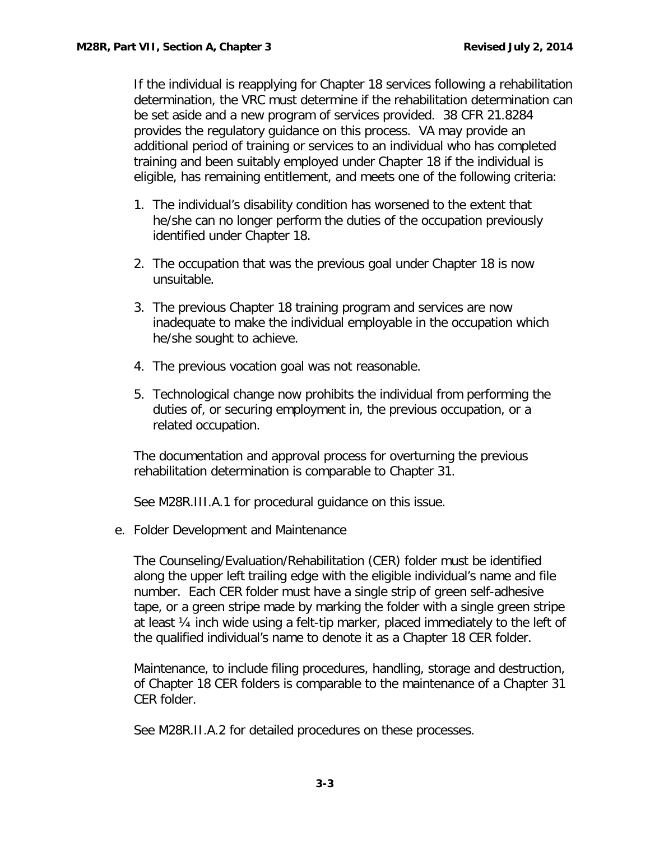If the individual is reapplying for Chapter 18 services following a rehabilitation determination, the VRC must determine if the rehabilitation determination can be set aside and a new program of services provided. 38 CFR 21.8284 provides the regulatory guidance on this process. VA may provide an additional period of training or services to an individual who has completed training and been suitably employed under Chapter 18 if the individual is eligible, has remaining entitlement, and meets one of the following criteria:

- 1. The individual's disability condition has worsened to the extent that he/she can no longer perform the duties of the occupation previously identified under Chapter 18.
- 2. The occupation that was the previous goal under Chapter 18 is now unsuitable.
- 3. The previous Chapter 18 training program and services are now inadequate to make the individual employable in the occupation which he/she sought to achieve.
- 4. The previous vocation goal was not reasonable.
- 5. Technological change now prohibits the individual from performing the duties of, or securing employment in, the previous occupation, or a related occupation.

The documentation and approval process for overturning the previous rehabilitation determination is comparable to Chapter 31.

See M28R.III.A.1 for procedural guidance on this issue.

<span id="page-3-0"></span>e. Folder Development and Maintenance

The Counseling/Evaluation/Rehabilitation (CER) folder must be identified along the upper left trailing edge with the eligible individual's name and file number. Each CER folder must have a single strip of green self-adhesive tape, or a green stripe made by marking the folder with a single green stripe at least ¼ inch wide using a felt-tip marker, placed immediately to the left of the qualified individual's name to denote it as a Chapter 18 CER folder.

Maintenance, to include filing procedures, handling, storage and destruction, of Chapter 18 CER folders is comparable to the maintenance of a Chapter 31 CER folder.

See M28R.II.A.2 for detailed procedures on these processes.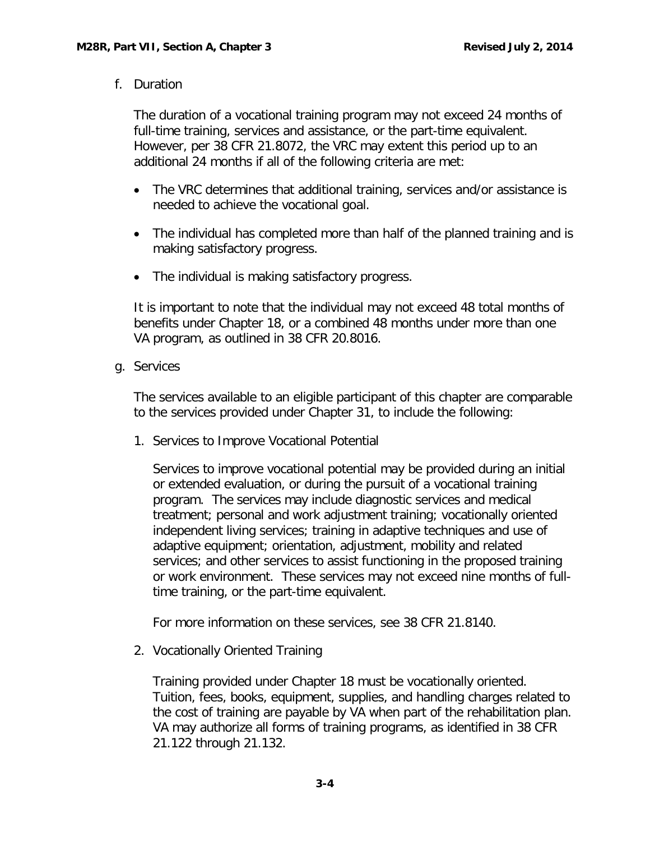<span id="page-4-0"></span>f. Duration

The duration of a vocational training program may not exceed 24 months of full-time training, services and assistance, or the part-time equivalent. However, per 38 CFR 21.8072, the VRC may extent this period up to an additional 24 months if all of the following criteria are met:

- The VRC determines that additional training, services and/or assistance is needed to achieve the vocational goal.
- The individual has completed more than half of the planned training and is making satisfactory progress.
- The individual is making satisfactory progress.

It is important to note that the individual may not exceed 48 total months of benefits under Chapter 18, or a combined 48 months under more than one VA program, as outlined in 38 CFR 20.8016.

<span id="page-4-1"></span>g. Services

The services available to an eligible participant of this chapter are comparable to the services provided under Chapter 31, to include the following:

1. Services to Improve Vocational Potential

Services to improve vocational potential may be provided during an initial or extended evaluation, or during the pursuit of a vocational training program. The services may include diagnostic services and medical treatment; personal and work adjustment training; vocationally oriented independent living services; training in adaptive techniques and use of adaptive equipment; orientation, adjustment, mobility and related services; and other services to assist functioning in the proposed training or work environment. These services may not exceed nine months of fulltime training, or the part-time equivalent.

For more information on these services, see 38 CFR 21.8140.

2. Vocationally Oriented Training

Training provided under Chapter 18 must be vocationally oriented. Tuition, fees, books, equipment, supplies, and handling charges related to the cost of training are payable by VA when part of the rehabilitation plan. VA may authorize all forms of training programs, as identified in 38 CFR 21.122 through 21.132.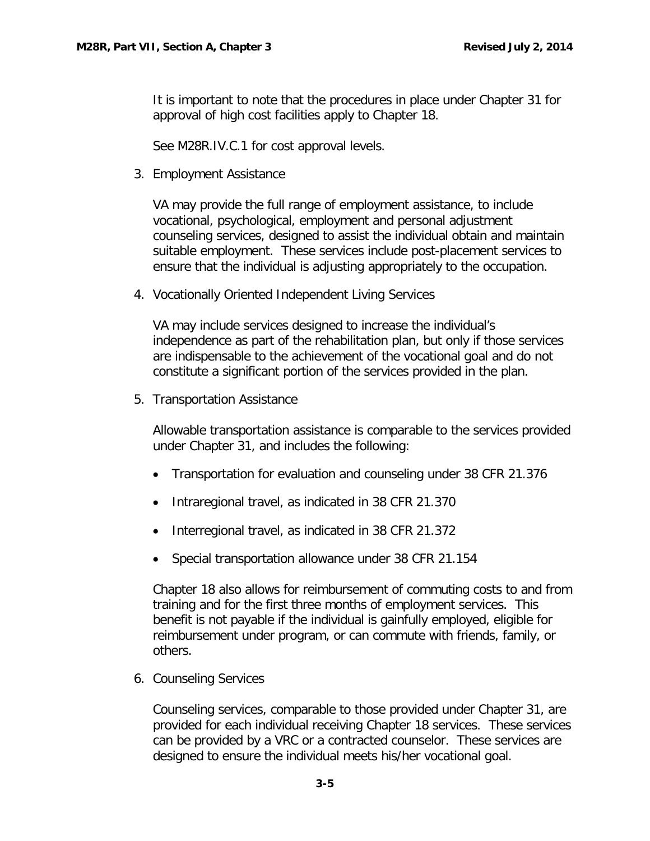It is important to note that the procedures in place under Chapter 31 for approval of high cost facilities apply to Chapter 18.

See M28R.IV.C.1 for cost approval levels.

3. Employment Assistance

VA may provide the full range of employment assistance, to include vocational, psychological, employment and personal adjustment counseling services, designed to assist the individual obtain and maintain suitable employment. These services include post-placement services to ensure that the individual is adjusting appropriately to the occupation.

4. Vocationally Oriented Independent Living Services

VA may include services designed to increase the individual's independence as part of the rehabilitation plan, but only if those services are indispensable to the achievement of the vocational goal and do not constitute a significant portion of the services provided in the plan.

5. Transportation Assistance

Allowable transportation assistance is comparable to the services provided under Chapter 31, and includes the following:

- Transportation for evaluation and counseling under 38 CFR 21.376
- Intraregional travel, as indicated in 38 CFR 21.370
- Interregional travel, as indicated in 38 CFR 21.372
- Special transportation allowance under 38 CFR 21.154

Chapter 18 also allows for reimbursement of commuting costs to and from training and for the first three months of employment services. This benefit is not payable if the individual is gainfully employed, eligible for reimbursement under program, or can commute with friends, family, or others.

6. Counseling Services

Counseling services, comparable to those provided under Chapter 31, are provided for each individual receiving Chapter 18 services. These services can be provided by a VRC or a contracted counselor. These services are designed to ensure the individual meets his/her vocational goal.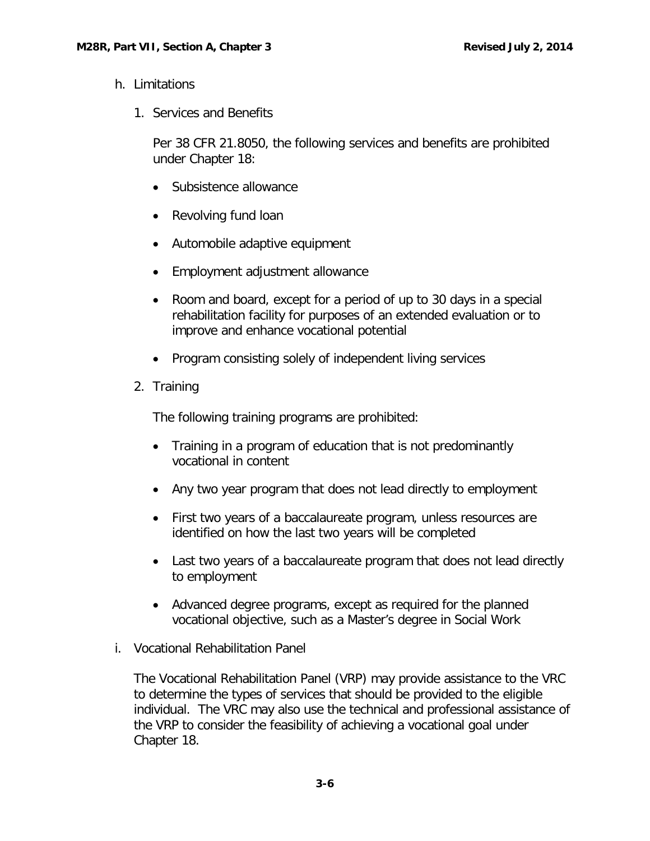- <span id="page-6-0"></span>h. Limitations
	- 1. Services and Benefits

Per 38 CFR 21.8050, the following services and benefits are prohibited under Chapter 18:

- Subsistence allowance
- Revolving fund loan
- Automobile adaptive equipment
- Employment adjustment allowance
- Room and board, except for a period of up to 30 days in a special rehabilitation facility for purposes of an extended evaluation or to improve and enhance vocational potential
- Program consisting solely of independent living services
- 2. Training

The following training programs are prohibited:

- Training in a program of education that is not predominantly vocational in content
- Any two year program that does not lead directly to employment
- First two years of a baccalaureate program, unless resources are identified on how the last two years will be completed
- Last two years of a baccalaureate program that does not lead directly to employment
- Advanced degree programs, except as required for the planned vocational objective, such as a Master's degree in Social Work
- <span id="page-6-1"></span>i. Vocational Rehabilitation Panel

The Vocational Rehabilitation Panel (VRP) may provide assistance to the VRC to determine the types of services that should be provided to the eligible individual. The VRC may also use the technical and professional assistance of the VRP to consider the feasibility of achieving a vocational goal under Chapter 18.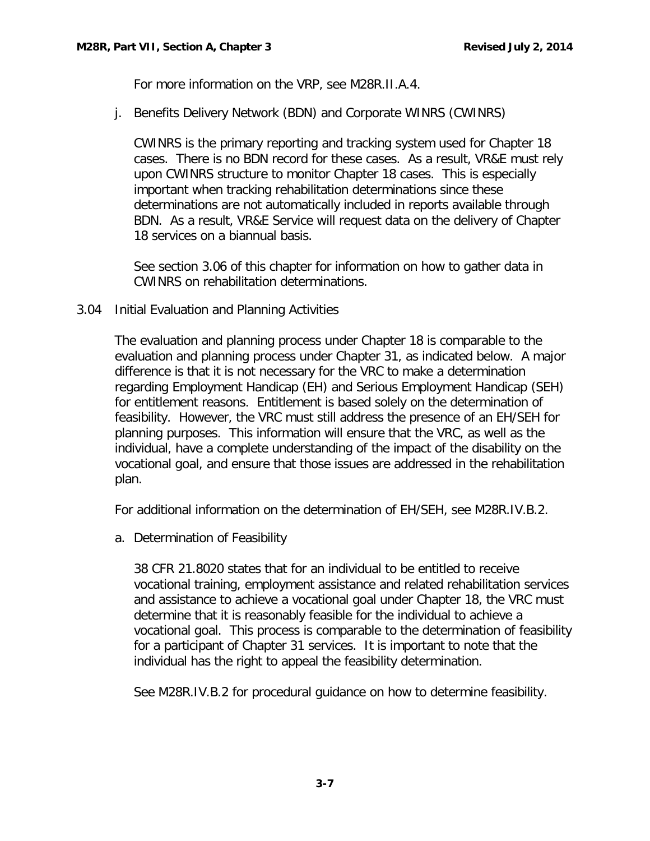For more information on the VRP, see M28R.II.A.4.

j. Benefits Delivery Network (BDN) and Corporate WINRS (CWINRS)

CWINRS is the primary reporting and tracking system used for Chapter 18 cases. There is no BDN record for these cases. As a result, VR&E must rely upon CWINRS structure to monitor Chapter 18 cases. This is especially important when tracking rehabilitation determinations since these determinations are not automatically included in reports available through BDN. As a result, VR&E Service will request data on the delivery of Chapter 18 services on a biannual basis.

See section 3.06 of this chapter for information on how to gather data in CWINRS on rehabilitation determinations.

#### <span id="page-7-0"></span>3.04 Initial Evaluation and Planning Activities

The evaluation and planning process under Chapter 18 is comparable to the evaluation and planning process under Chapter 31, as indicated below. A major difference is that it is not necessary for the VRC to make a determination regarding Employment Handicap (EH) and Serious Employment Handicap (SEH) for entitlement reasons. Entitlement is based solely on the determination of feasibility. However, the VRC must still address the presence of an EH/SEH for planning purposes. This information will ensure that the VRC, as well as the individual, have a complete understanding of the impact of the disability on the vocational goal, and ensure that those issues are addressed in the rehabilitation plan.

<span id="page-7-1"></span>For additional information on the determination of EH/SEH, see M28R.IV.B.2.

a. Determination of Feasibility

38 CFR 21.8020 states that for an individual to be entitled to receive vocational training, employment assistance and related rehabilitation services and assistance to achieve a vocational goal under Chapter 18, the VRC must determine that it is reasonably feasible for the individual to achieve a vocational goal. This process is comparable to the determination of feasibility for a participant of Chapter 31 services. It is important to note that the individual has the right to appeal the feasibility determination.

See M28R.IV.B.2 for procedural guidance on how to determine feasibility.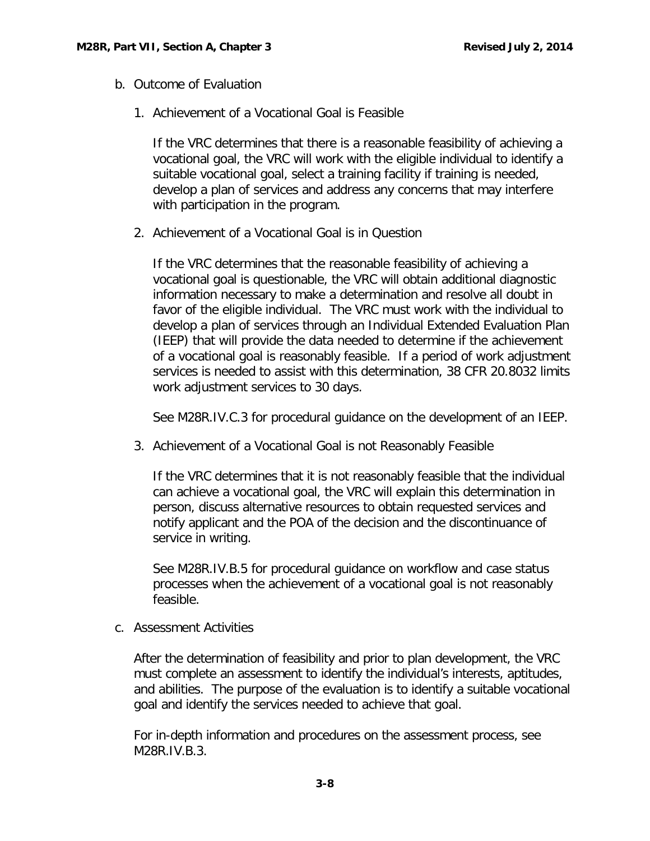- <span id="page-8-0"></span>b. Outcome of Evaluation
	- 1. Achievement of a Vocational Goal is Feasible

If the VRC determines that there is a reasonable feasibility of achieving a vocational goal, the VRC will work with the eligible individual to identify a suitable vocational goal, select a training facility if training is needed, develop a plan of services and address any concerns that may interfere with participation in the program.

2. Achievement of a Vocational Goal is in Question

If the VRC determines that the reasonable feasibility of achieving a vocational goal is questionable, the VRC will obtain additional diagnostic information necessary to make a determination and resolve all doubt in favor of the eligible individual. The VRC must work with the individual to develop a plan of services through an Individual Extended Evaluation Plan (IEEP) that will provide the data needed to determine if the achievement of a vocational goal is reasonably feasible. If a period of work adjustment services is needed to assist with this determination, 38 CFR 20.8032 limits work adjustment services to 30 days.

See M28R.IV.C.3 for procedural guidance on the development of an IEEP.

3. Achievement of a Vocational Goal is not Reasonably Feasible

If the VRC determines that it is not reasonably feasible that the individual can achieve a vocational goal, the VRC will explain this determination in person, discuss alternative resources to obtain requested services and notify applicant and the POA of the decision and the discontinuance of service in writing.

See M28R.IV.B.5 for procedural guidance on workflow and case status processes when the achievement of a vocational goal is not reasonably feasible.

<span id="page-8-1"></span>c. Assessment Activities

After the determination of feasibility and prior to plan development, the VRC must complete an assessment to identify the individual's interests, aptitudes, and abilities. The purpose of the evaluation is to identify a suitable vocational goal and identify the services needed to achieve that goal.

For in-depth information and procedures on the assessment process, see M28R.IV.B.3.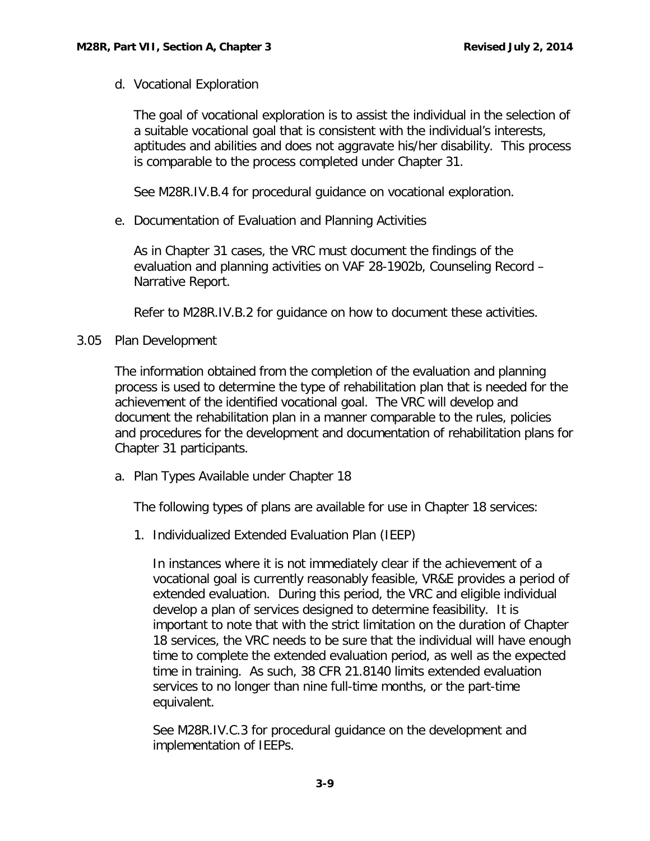<span id="page-9-0"></span>d. Vocational Exploration

The goal of vocational exploration is to assist the individual in the selection of a suitable vocational goal that is consistent with the individual's interests, aptitudes and abilities and does not aggravate his/her disability. This process is comparable to the process completed under Chapter 31.

See M28R.IV.B.4 for procedural guidance on vocational exploration.

<span id="page-9-1"></span>e. Documentation of Evaluation and Planning Activities

As in Chapter 31 cases, the VRC must document the findings of the evaluation and planning activities on VAF 28-1902b, Counseling Record – Narrative Report.

Refer to M28R.IV.B.2 for guidance on how to document these activities.

# <span id="page-9-2"></span>3.05 Plan Development

The information obtained from the completion of the evaluation and planning process is used to determine the type of rehabilitation plan that is needed for the achievement of the identified vocational goal. The VRC will develop and document the rehabilitation plan in a manner comparable to the rules, policies and procedures for the development and documentation of rehabilitation plans for Chapter 31 participants.

<span id="page-9-3"></span>a. Plan Types Available under Chapter 18

The following types of plans are available for use in Chapter 18 services:

1. Individualized Extended Evaluation Plan (IEEP)

In instances where it is not immediately clear if the achievement of a vocational goal is currently reasonably feasible, VR&E provides a period of extended evaluation. During this period, the VRC and eligible individual develop a plan of services designed to determine feasibility. It is important to note that with the strict limitation on the duration of Chapter 18 services, the VRC needs to be sure that the individual will have enough time to complete the extended evaluation period, as well as the expected time in training. As such, 38 CFR 21.8140 limits extended evaluation services to no longer than nine full-time months, or the part-time equivalent.

See M28R.IV.C.3 for procedural guidance on the development and implementation of IEEPs.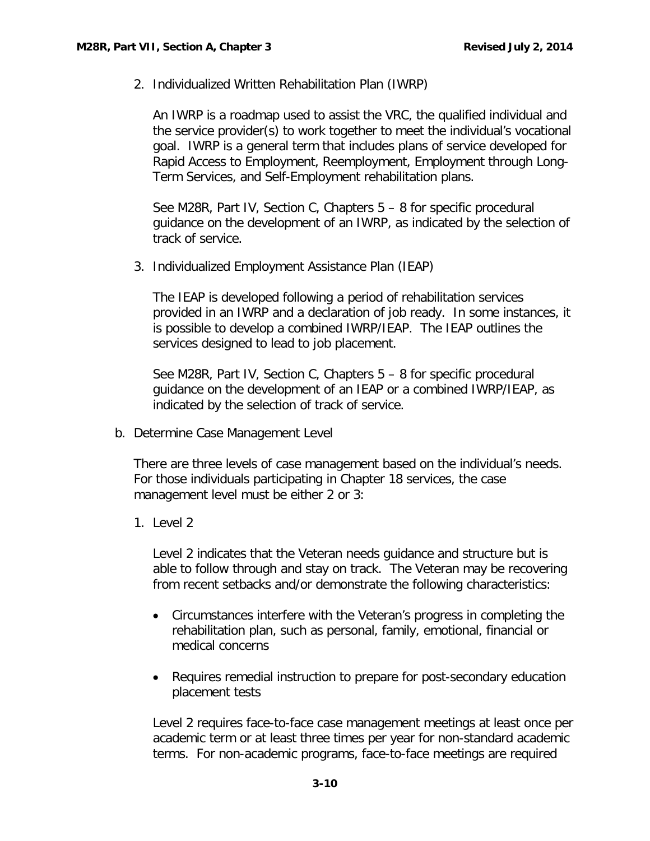2. Individualized Written Rehabilitation Plan (IWRP)

An IWRP is a roadmap used to assist the VRC, the qualified individual and the service provider(s) to work together to meet the individual's vocational goal. IWRP is a general term that includes plans of service developed for Rapid Access to Employment, Reemployment, Employment through Long-Term Services, and Self-Employment rehabilitation plans.

See M28R, Part IV, Section C, Chapters 5 – 8 for specific procedural guidance on the development of an IWRP, as indicated by the selection of track of service.

3. Individualized Employment Assistance Plan (IEAP)

The IEAP is developed following a period of rehabilitation services provided in an IWRP and a declaration of job ready. In some instances, it is possible to develop a combined IWRP/IEAP. The IEAP outlines the services designed to lead to job placement.

See M28R, Part IV, Section C, Chapters 5 – 8 for specific procedural guidance on the development of an IEAP or a combined IWRP/IEAP, as indicated by the selection of track of service.

<span id="page-10-0"></span>b. Determine Case Management Level

There are three levels of case management based on the individual's needs. For those individuals participating in Chapter 18 services, the case management level must be either 2 or 3:

1. Level 2

Level 2 indicates that the Veteran needs guidance and structure but is able to follow through and stay on track. The Veteran may be recovering from recent setbacks and/or demonstrate the following characteristics:

- Circumstances interfere with the Veteran's progress in completing the rehabilitation plan, such as personal, family, emotional, financial or medical concerns
- Requires remedial instruction to prepare for post-secondary education placement tests

Level 2 requires face-to-face case management meetings at least once per academic term or at least three times per year for non-standard academic terms. For non-academic programs, face-to-face meetings are required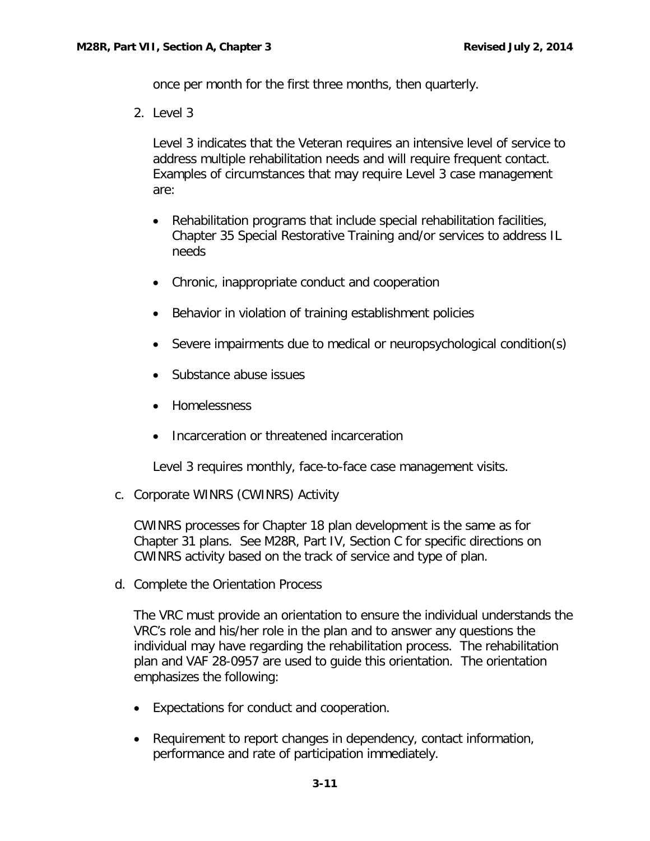once per month for the first three months, then quarterly.

2. Level 3

Level 3 indicates that the Veteran requires an intensive level of service to address multiple rehabilitation needs and will require frequent contact. Examples of circumstances that may require Level 3 case management are:

- Rehabilitation programs that include special rehabilitation facilities, Chapter 35 Special Restorative Training and/or services to address IL needs
- Chronic, inappropriate conduct and cooperation
- Behavior in violation of training establishment policies
- Severe impairments due to medical or neuropsychological condition(s)
- Substance abuse issues
- Homelessness
- Incarceration or threatened incarceration

Level 3 requires monthly, face-to-face case management visits.

<span id="page-11-0"></span>c. Corporate WINRS (CWINRS) Activity

CWINRS processes for Chapter 18 plan development is the same as for Chapter 31 plans. See M28R, Part IV, Section C for specific directions on CWINRS activity based on the track of service and type of plan.

<span id="page-11-1"></span>d. Complete the Orientation Process

The VRC must provide an orientation to ensure the individual understands the VRC's role and his/her role in the plan and to answer any questions the individual may have regarding the rehabilitation process. The rehabilitation plan and VAF 28-0957 are used to guide this orientation. The orientation emphasizes the following:

- Expectations for conduct and cooperation.
- Requirement to report changes in dependency, contact information, performance and rate of participation immediately.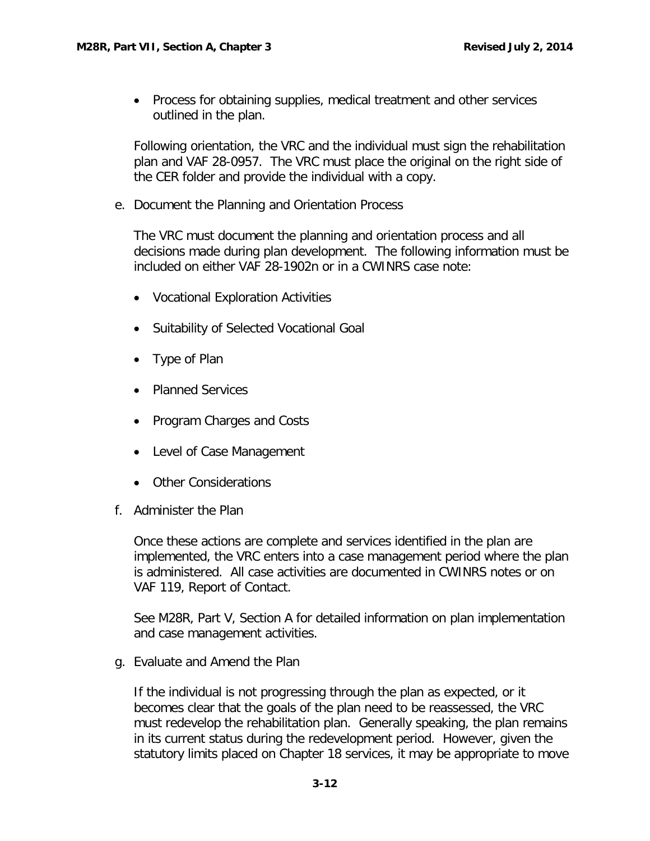• Process for obtaining supplies, medical treatment and other services outlined in the plan.

Following orientation, the VRC and the individual must sign the rehabilitation plan and VAF 28-0957. The VRC must place the original on the right side of the CER folder and provide the individual with a copy.

<span id="page-12-0"></span>e. Document the Planning and Orientation Process

The VRC must document the planning and orientation process and all decisions made during plan development. The following information must be included on either VAF 28-1902n or in a CWINRS case note:

- Vocational Exploration Activities
- Suitability of Selected Vocational Goal
- Type of Plan
- Planned Services
- Program Charges and Costs
- Level of Case Management
- Other Considerations
- <span id="page-12-1"></span>f. Administer the Plan

Once these actions are complete and services identified in the plan are implemented, the VRC enters into a case management period where the plan is administered. All case activities are documented in CWINRS notes or on VAF 119, Report of Contact.

See M28R, Part V, Section A for detailed information on plan implementation and case management activities.

<span id="page-12-2"></span>g. Evaluate and Amend the Plan

If the individual is not progressing through the plan as expected, or it becomes clear that the goals of the plan need to be reassessed, the VRC must redevelop the rehabilitation plan. Generally speaking, the plan remains in its current status during the redevelopment period. However, given the statutory limits placed on Chapter 18 services, it may be appropriate to move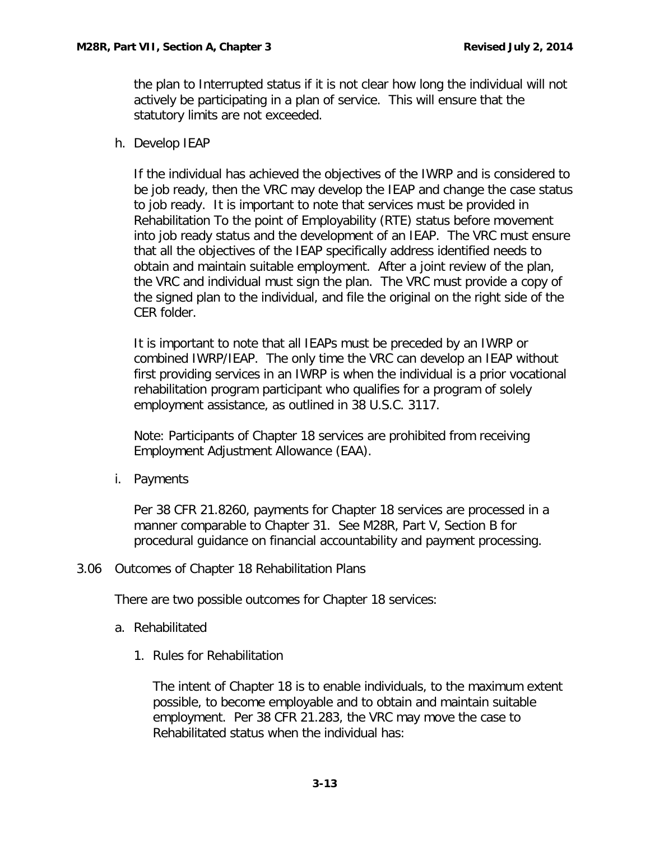the plan to Interrupted status if it is not clear how long the individual will not actively be participating in a plan of service. This will ensure that the statutory limits are not exceeded.

<span id="page-13-0"></span>h. Develop IEAP

If the individual has achieved the objectives of the IWRP and is considered to be job ready, then the VRC may develop the IEAP and change the case status to job ready. It is important to note that services must be provided in Rehabilitation To the point of Employability (RTE) status before movement into job ready status and the development of an IEAP. The VRC must ensure that all the objectives of the IEAP specifically address identified needs to obtain and maintain suitable employment. After a joint review of the plan, the VRC and individual must sign the plan. The VRC must provide a copy of the signed plan to the individual, and file the original on the right side of the CER folder.

It is important to note that all IEAPs must be preceded by an IWRP or combined IWRP/IEAP. The only time the VRC can develop an IEAP without first providing services in an IWRP is when the individual is a prior vocational rehabilitation program participant who qualifies for a program of solely employment assistance, as outlined in 38 U.S.C. 3117.

Note: Participants of Chapter 18 services are prohibited from receiving Employment Adjustment Allowance (EAA).

<span id="page-13-1"></span>i. Payments

Per 38 CFR 21.8260, payments for Chapter 18 services are processed in a manner comparable to Chapter 31. See M28R, Part V, Section B for procedural guidance on financial accountability and payment processing.

<span id="page-13-2"></span>3.06 Outcomes of Chapter 18 Rehabilitation Plans

<span id="page-13-3"></span>There are two possible outcomes for Chapter 18 services:

- a. Rehabilitated
	- 1. Rules for Rehabilitation

The intent of Chapter 18 is to enable individuals, to the maximum extent possible, to become employable and to obtain and maintain suitable employment. Per 38 CFR 21.283, the VRC may move the case to Rehabilitated status when the individual has: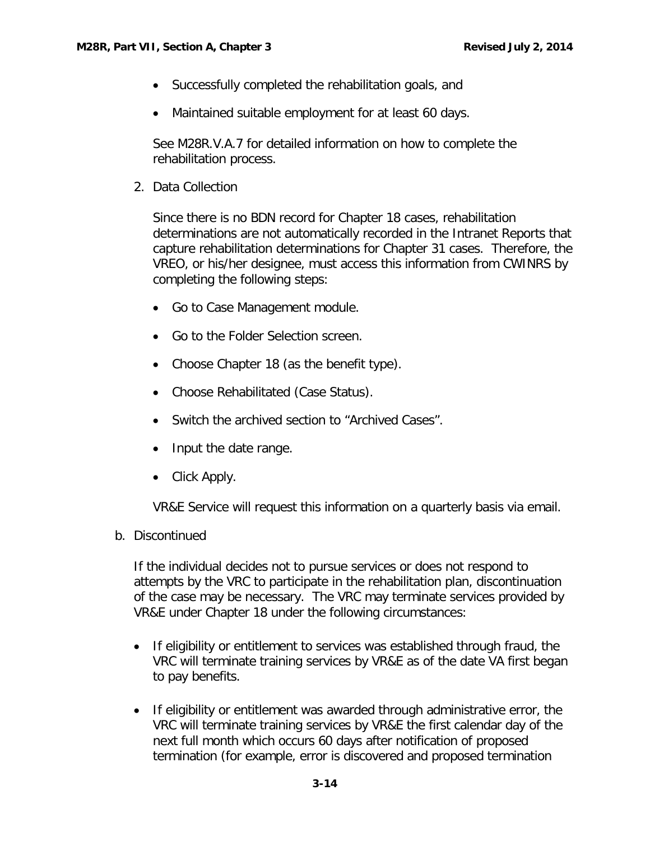- Successfully completed the rehabilitation goals, and
- Maintained suitable employment for at least 60 days.

See M28R.V.A.7 for detailed information on how to complete the rehabilitation process.

2. Data Collection

Since there is no BDN record for Chapter 18 cases, rehabilitation determinations are not automatically recorded in the Intranet Reports that capture rehabilitation determinations for Chapter 31 cases. Therefore, the VREO, or his/her designee, must access this information from CWINRS by completing the following steps:

- Go to Case Management module.
- Go to the Folder Selection screen.
- Choose Chapter 18 (as the benefit type).
- Choose Rehabilitated (Case Status).
- Switch the archived section to "Archived Cases".
- Input the date range.
- Click Apply.

VR&E Service will request this information on a quarterly basis via email.

<span id="page-14-0"></span>b. Discontinued

If the individual decides not to pursue services or does not respond to attempts by the VRC to participate in the rehabilitation plan, discontinuation of the case may be necessary. The VRC may terminate services provided by VR&E under Chapter 18 under the following circumstances:

- If eligibility or entitlement to services was established through fraud, the VRC will terminate training services by VR&E as of the date VA first began to pay benefits.
- If eligibility or entitlement was awarded through administrative error, the VRC will terminate training services by VR&E the first calendar day of the next full month which occurs 60 days after notification of proposed termination (for example, error is discovered and proposed termination